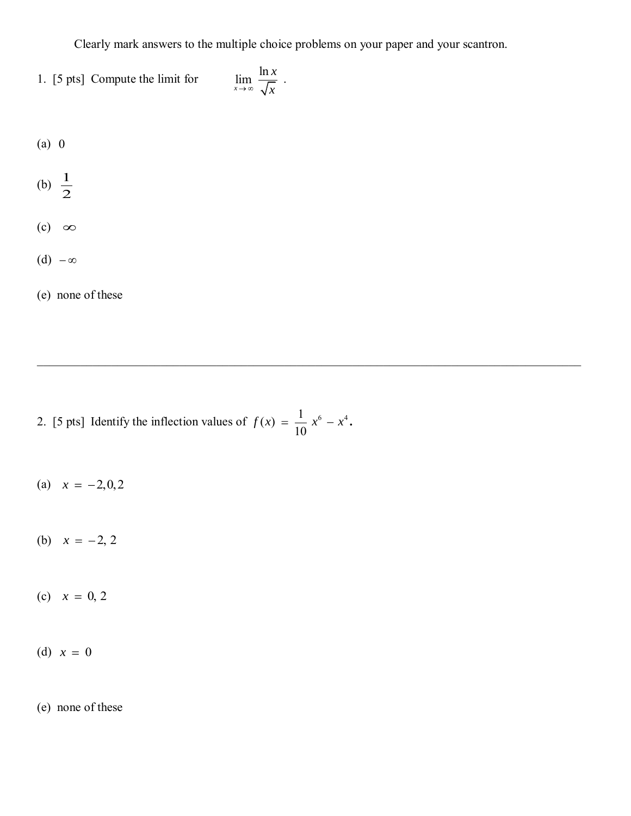Clearly mark answers to the multiple choice problems on your paper and your scantron.

.

\_\_\_\_\_\_\_\_\_\_\_\_\_\_\_\_\_\_\_\_\_\_\_\_\_\_\_\_\_\_\_\_\_\_\_\_\_\_\_\_\_\_\_\_\_\_\_\_\_\_\_\_\_\_\_\_\_\_\_\_\_\_\_\_\_\_\_\_\_\_\_\_\_\_\_\_\_\_\_\_\_\_\_\_\_\_\_\_

- 1. [5 pts] Compute the limit for  $\lim_{x \to \infty} \frac{\ln}{\sqrt{2}}$ *x x*
- (a) 0
- (b)  $\frac{1}{2}$  $\overline{2}$
- $(c) \infty$
- (d)  $-\infty$
- (e) none of these

2. [5 pts] Identify the inflection values of  $f(x) = \frac{1}{10}x^6 - x^4$ . 10  $f(x) = \frac{1}{10} x^6 - x^4$ .

- (a)  $x = -2, 0, 2$
- (b)  $x = -2, 2$
- (c)  $x = 0, 2$
- (d)  $x = 0$
- (e) none of these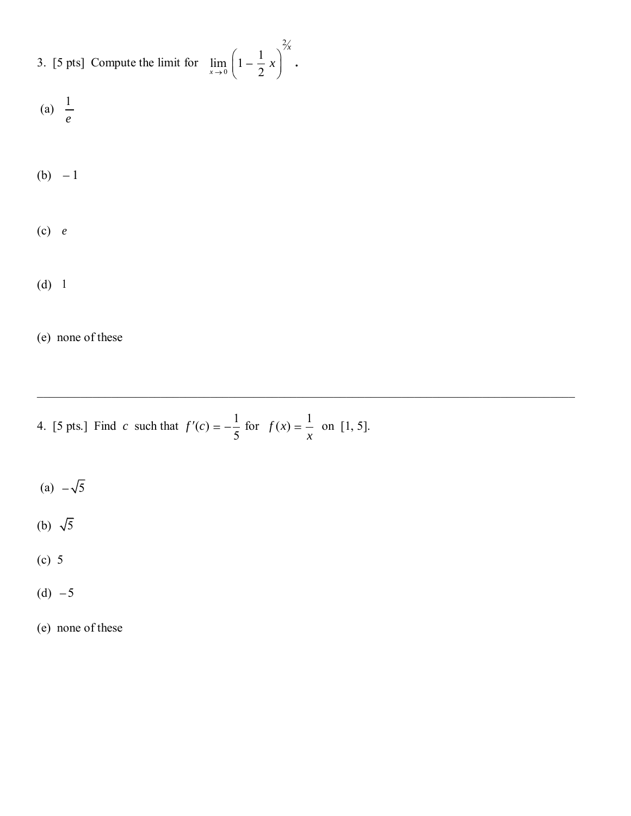| 3. [5 pts] Compute the limit for $\lim_{x\to 0} \left(1 - \frac{1}{2}x\right)^{2x}$ |  |
|-------------------------------------------------------------------------------------|--|
|-------------------------------------------------------------------------------------|--|

*x* **.** 

\_\_\_\_\_\_\_\_\_\_\_\_\_\_\_\_\_\_\_\_\_\_\_\_\_\_\_\_\_\_\_\_\_\_\_\_\_\_\_\_\_\_\_\_\_\_\_\_\_\_\_\_\_\_\_\_\_\_\_\_\_\_\_\_\_\_\_\_\_\_\_\_\_\_\_\_\_\_\_\_\_\_\_\_\_\_\_

(a) 
$$
\frac{1}{e}
$$

(b)  $-1$ 

## (c) *e*

(d) 1

(e) none of these

- 4. [5 pts.] Find *c* such that  $f'(c) = -\frac{1}{5}$ 5  $f'(c) = -\frac{1}{\epsilon}$  for  $f(x) = \frac{1}{\epsilon}$ *x* on [1, 5].
- (a)  $-\sqrt{5}$
- (b)  $\sqrt{5}$
- (c) 5
- (d)  $-5$

(e) none of these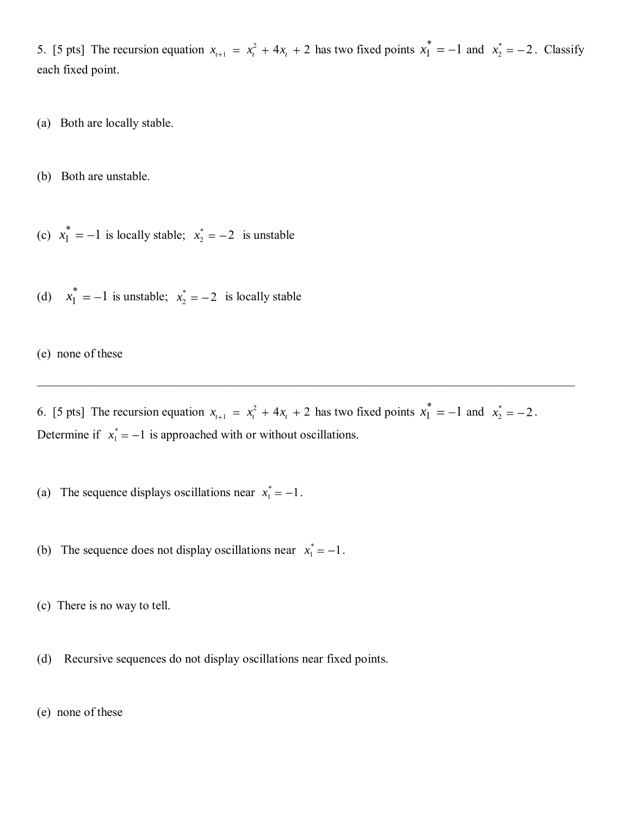5. [5 pts] The recursion equation  $x_{t+1} = x_t^2$  $x_{t+1} = x_t^2 + 4x_t + 2$  has two fixed points  $x_1^* = -1$  $x_1^* = -1$  and  $x_2^*$  $x_2^* = -2$ . Classify each fixed point.

(a) Both are locally stable.

(b) Both are unstable.

(c)  $x_1^* = -1$  $x_1^* = -1$  is locally stable;  $x_2^*$  $x_2^* = -2$  is unstable

(d)  $x_1^* = -1$  $x_1^* = -1$  is unstable;  $x_2^*$  $x_2^* = -2$  is locally stable

(e) none of these

6. [5 pts] The recursion equation  $x_{t+1} = x_t^2$  $x_{t+1} = x_t^2 + 4x_t + 2$  has two fixed points  $x_1^* = -1$  $x_1^* = -1$  and  $x_2^*$  $x_2^* = -2$ . Determine if  $x_1^* = -1$  $x_1^* = -1$  is approached with or without oscillations.

\_\_\_\_\_\_\_\_\_\_\_\_\_\_\_\_\_\_\_\_\_\_\_\_\_\_\_\_\_\_\_\_\_\_\_\_\_\_\_\_\_\_\_\_\_\_\_\_\_\_\_\_\_\_\_\_\_\_\_\_\_\_\_\_\_\_\_\_\_\_\_\_\_\_\_\_\_\_\_\_\_\_\_\_\_\_\_

(a) The sequence displays oscillations near  $x_1^* = -1$  $x_1^* = -1$ .

(b) The sequence does not display oscillations near  $x_1^* = -1$  $x_1^* = -1$ .

(c) There is no way to tell.

(d) Recursive sequences do not display oscillations near fixed points.

(e) none of these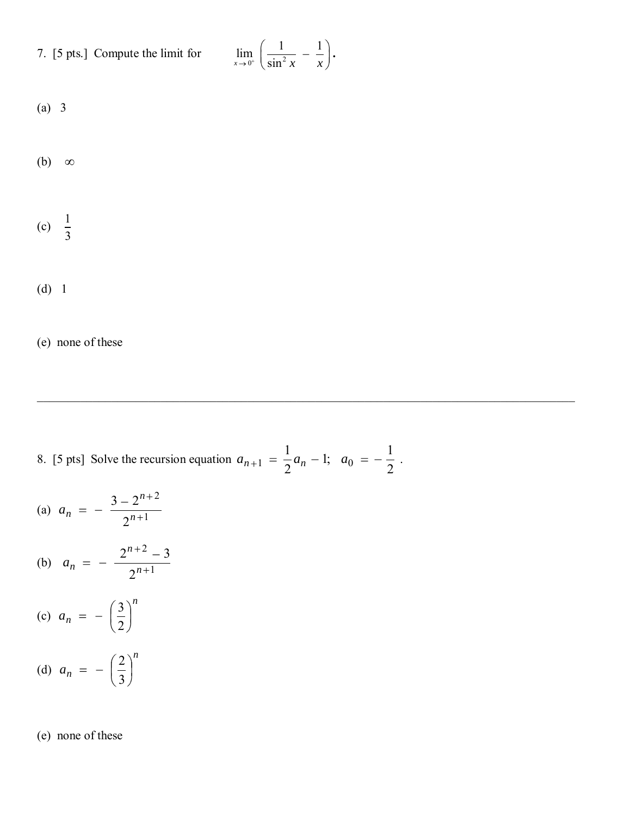7. [5 pts.] Compute the limit for

$$
\lim_{x \to 0^+} \left( \frac{1}{\sin^2 x} - \frac{1}{x} \right).
$$

\_\_\_\_\_\_\_\_\_\_\_\_\_\_\_\_\_\_\_\_\_\_\_\_\_\_\_\_\_\_\_\_\_\_\_\_\_\_\_\_\_\_\_\_\_\_\_\_\_\_\_\_\_\_\_\_\_\_\_\_\_\_\_\_\_\_\_\_\_\_\_\_\_\_\_\_\_\_\_\_\_\_\_\_\_\_\_

$$
(a) 3
$$

(b) 
$$
\infty
$$

$$
(c) \quad \frac{1}{3}
$$

$$
(d) 1
$$

(e) none of these

8. [5 pts] Solve the recursion equation 2 1 ;1 2  $a_{n+1} = \frac{1}{2}a_n - 1; \quad a_0 = -\frac{1}{2}$ .

(a) 
$$
a_n = -\frac{3 - 2^{n+2}}{2^{n+1}}
$$

(b) 
$$
a_n = -\frac{2^{n+2} - 3}{2^{n+1}}
$$

$$
(c) \ \ a_n = -\left(\frac{3}{2}\right)^n
$$

(d) 
$$
a_n = -\left(\frac{2}{3}\right)^n
$$

(e) none of these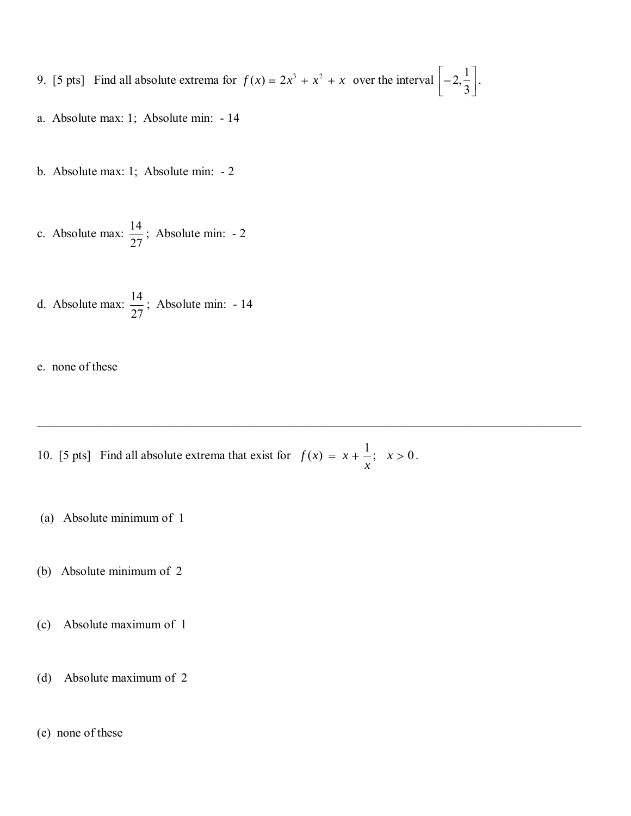- 9. [5 pts] Find all absolute extrema for  $f(x) = 2x^3 + x^2 + x$  over the interval  $\left[-2, \frac{1}{2}\right]$ 3 .
- a. Absolute max: 1; Absolute min: 14
- b. Absolute max: 1; Absolute min: 2
- c. Absolute max:  $\frac{14}{2}$ 27 ; Absolute min: - 2
- d. Absolute max:  $\frac{14}{27}$ 27 ; Absolute min: - 14
- e. none of these
- 10. [5 pts] Find all absolute extrema that exist for  $f(x) = x + \frac{1}{x}$ ;  $x > 0$ . .

\_\_\_\_\_\_\_\_\_\_\_\_\_\_\_\_\_\_\_\_\_\_\_\_\_\_\_\_\_\_\_\_\_\_\_\_\_\_\_\_\_\_\_\_\_\_\_\_\_\_\_\_\_\_\_\_\_\_\_\_\_\_\_\_\_\_\_\_\_\_\_\_\_\_\_\_\_\_\_\_\_\_\_\_\_\_\_\_

- (a) Absolute minimum of 1
- (b) Absolute minimum of 2
- (c) Absolute maximum of 1
- (d) Absolute maximum of 2
- (e) none of these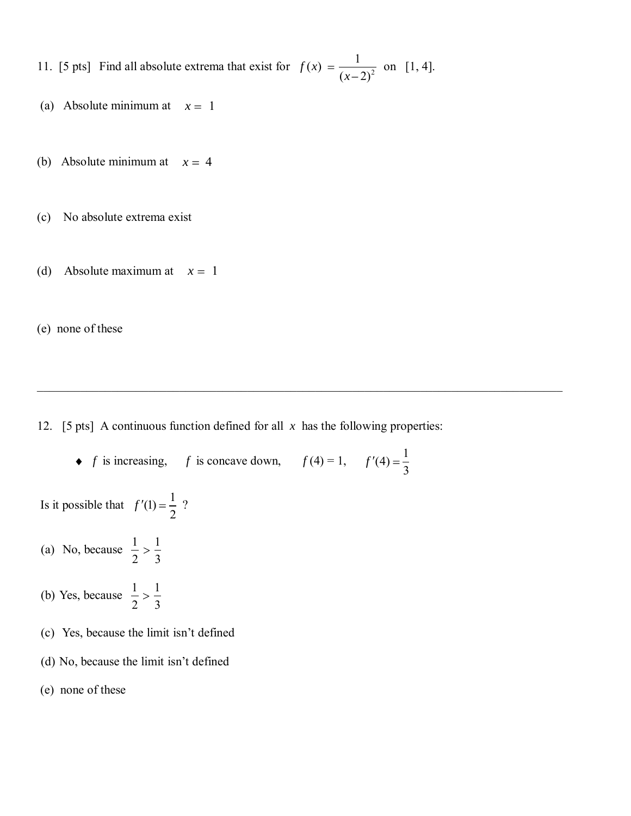11. [5 pts] Find all absolute extrema that exist for  $f(x) = \frac{1}{(x-2)^2}$  $f(x) = \frac{1}{x}$  $(x-2)^2$ *f x x* on [1, 4].

- (a) Absolute minimum at  $x = 1$
- (b) Absolute minimum at  $x = 4$
- (c) No absolute extrema exist
- (d) Absolute maximum at  $x = 1$

(e) none of these

12. [5 pts] A continuous function defined for all  $x$  has the following properties:

 $\_$  , and the set of the set of the set of the set of the set of the set of the set of the set of the set of the set of the set of the set of the set of the set of the set of the set of the set of the set of the set of th

*f* is increasing, *f* is concave down,  $f(4) = 1$ ,  $f'(4) = \frac{1}{2}$ 3 *f*

Is it possible that  $f'(1) = \frac{1}{2}$ 2  $f'(1) = \frac{1}{2}$  ?

- (a) No, because  $\frac{1}{2} > \frac{1}{2}$ 2 3
- (b) Yes, because  $\frac{1}{2} > \frac{1}{2}$ 2 3
- (c) Yes, because the limit isn't defined
- (d) No, because the limit isn't defined
- (e) none of these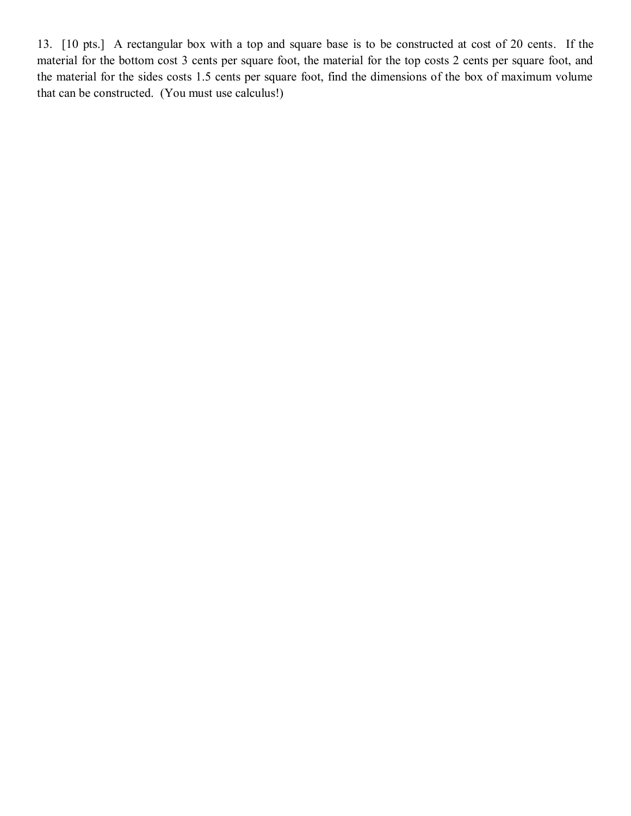13. [10 pts.] A rectangular box with a top and square base is to be constructed at cost of 20 cents. If the material for the bottom cost 3 cents per square foot, the material for the top costs 2 cents per square foot, and the material for the sides costs 1.5 cents per square foot, find the dimensions of the box of maximum volume that can be constructed. (You must use calculus!)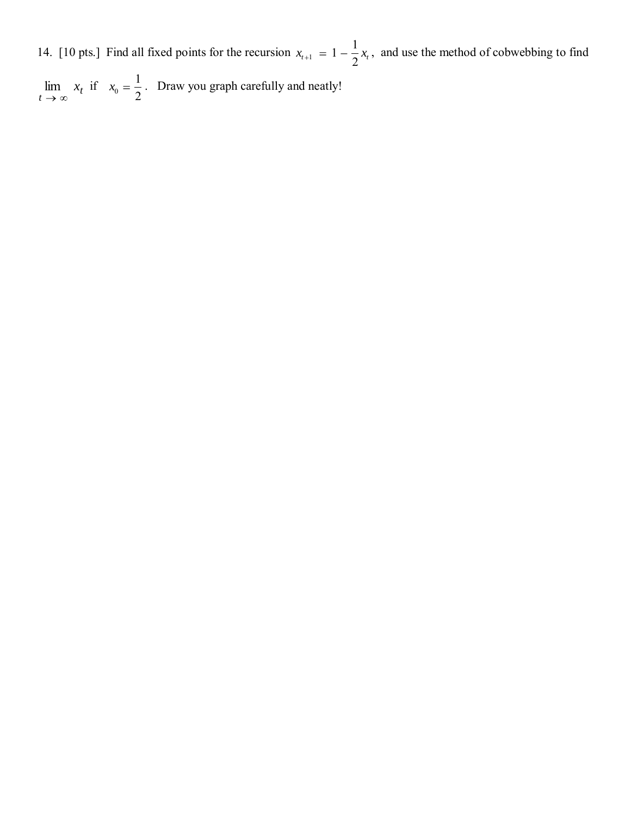14. [10 pts.] Find all fixed points for the recursion  $x_{t+1}$  $1 - \frac{1}{2}$  $x_{t+1} = 1 - \frac{1}{2}x_t$ , and use the method of cobwebbing to find

 $\lim_{t \to \infty} x_t$  $\lim x_t$  if  $x_0$ 1 2  $x_0 = \frac{1}{2}$ . Draw you graph carefully and neatly!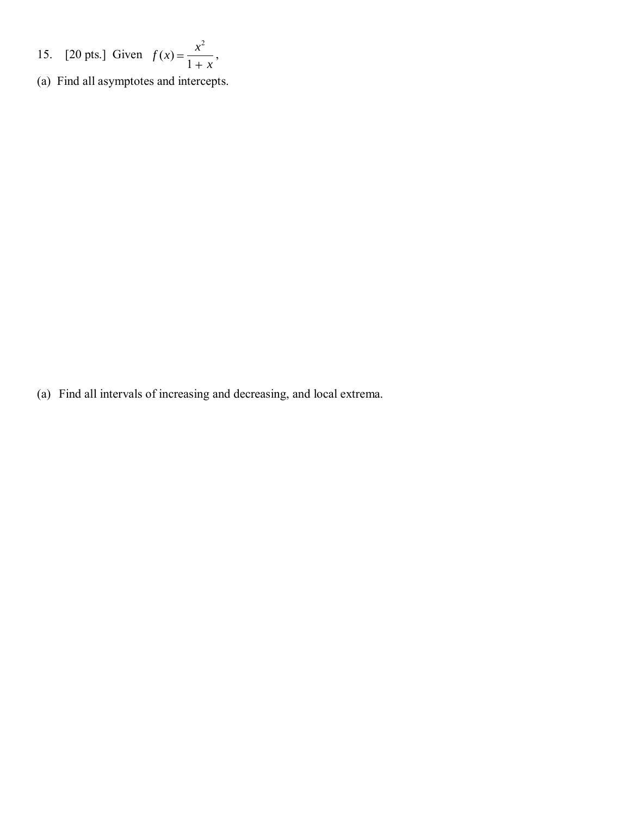- 15. [20 pts.] Given 2  $(x) =$ 1  $f(x) = \frac{x}{x}$ *x* ,
- (a) Find all asymptotes and intercepts.

(a) Find all intervals of increasing and decreasing, and local extrema.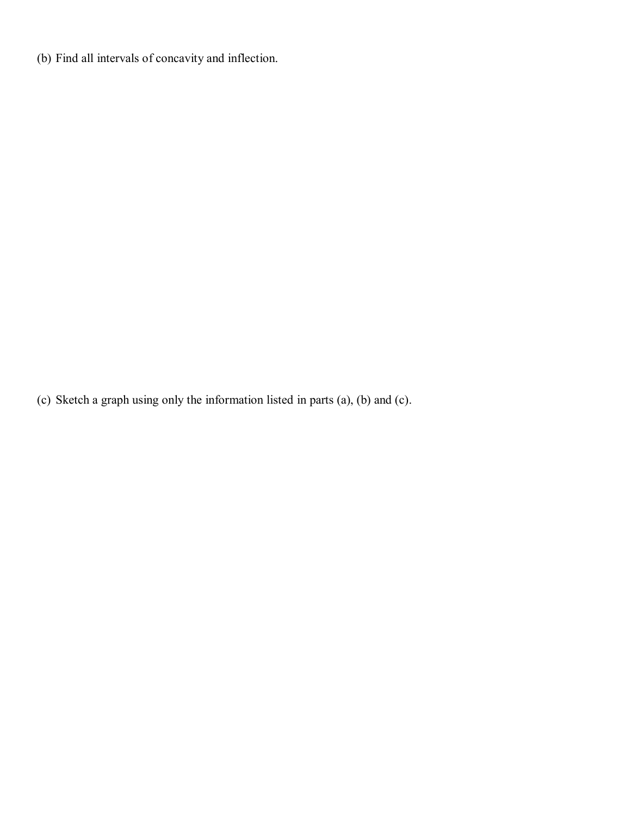(b) Find all intervals of concavity and inflection.

(c) Sketch a graph using only the information listed in parts (a), (b) and (c).